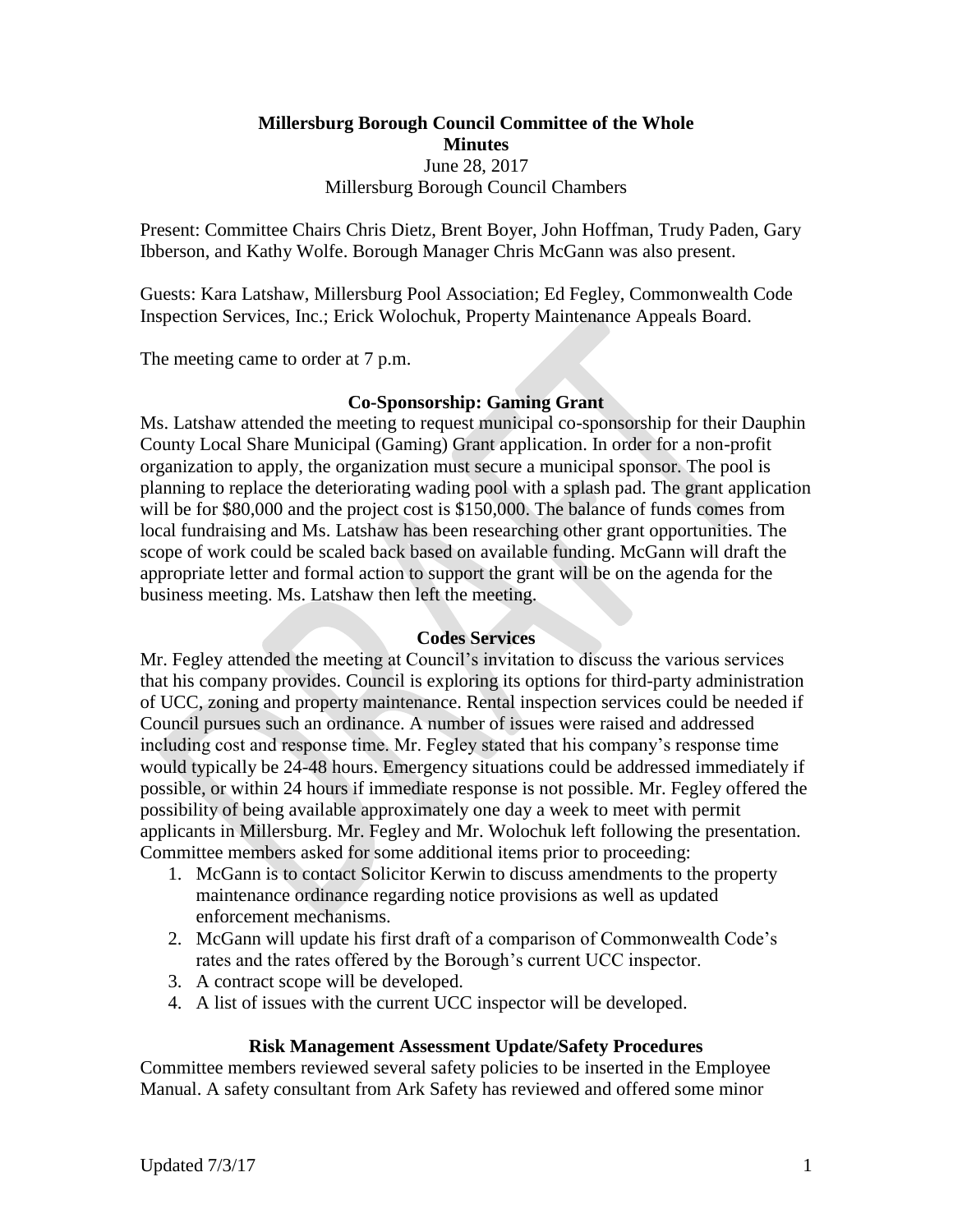# **Millersburg Borough Council Committee of the Whole Minutes** June 28, 2017 Millersburg Borough Council Chambers

Present: Committee Chairs Chris Dietz, Brent Boyer, John Hoffman, Trudy Paden, Gary Ibberson, and Kathy Wolfe. Borough Manager Chris McGann was also present.

Guests: Kara Latshaw, Millersburg Pool Association; Ed Fegley, Commonwealth Code Inspection Services, Inc.; Erick Wolochuk, Property Maintenance Appeals Board.

The meeting came to order at 7 p.m.

## **Co-Sponsorship: Gaming Grant**

Ms. Latshaw attended the meeting to request municipal co-sponsorship for their Dauphin County Local Share Municipal (Gaming) Grant application. In order for a non-profit organization to apply, the organization must secure a municipal sponsor. The pool is planning to replace the deteriorating wading pool with a splash pad. The grant application will be for \$80,000 and the project cost is \$150,000. The balance of funds comes from local fundraising and Ms. Latshaw has been researching other grant opportunities. The scope of work could be scaled back based on available funding. McGann will draft the appropriate letter and formal action to support the grant will be on the agenda for the business meeting. Ms. Latshaw then left the meeting.

## **Codes Services**

Mr. Fegley attended the meeting at Council's invitation to discuss the various services that his company provides. Council is exploring its options for third-party administration of UCC, zoning and property maintenance. Rental inspection services could be needed if Council pursues such an ordinance. A number of issues were raised and addressed including cost and response time. Mr. Fegley stated that his company's response time would typically be 24-48 hours. Emergency situations could be addressed immediately if possible, or within 24 hours if immediate response is not possible. Mr. Fegley offered the possibility of being available approximately one day a week to meet with permit applicants in Millersburg. Mr. Fegley and Mr. Wolochuk left following the presentation. Committee members asked for some additional items prior to proceeding:

- 1. McGann is to contact Solicitor Kerwin to discuss amendments to the property maintenance ordinance regarding notice provisions as well as updated enforcement mechanisms.
- 2. McGann will update his first draft of a comparison of Commonwealth Code's rates and the rates offered by the Borough's current UCC inspector.
- 3. A contract scope will be developed.
- 4. A list of issues with the current UCC inspector will be developed.

## **Risk Management Assessment Update/Safety Procedures**

Committee members reviewed several safety policies to be inserted in the Employee Manual. A safety consultant from Ark Safety has reviewed and offered some minor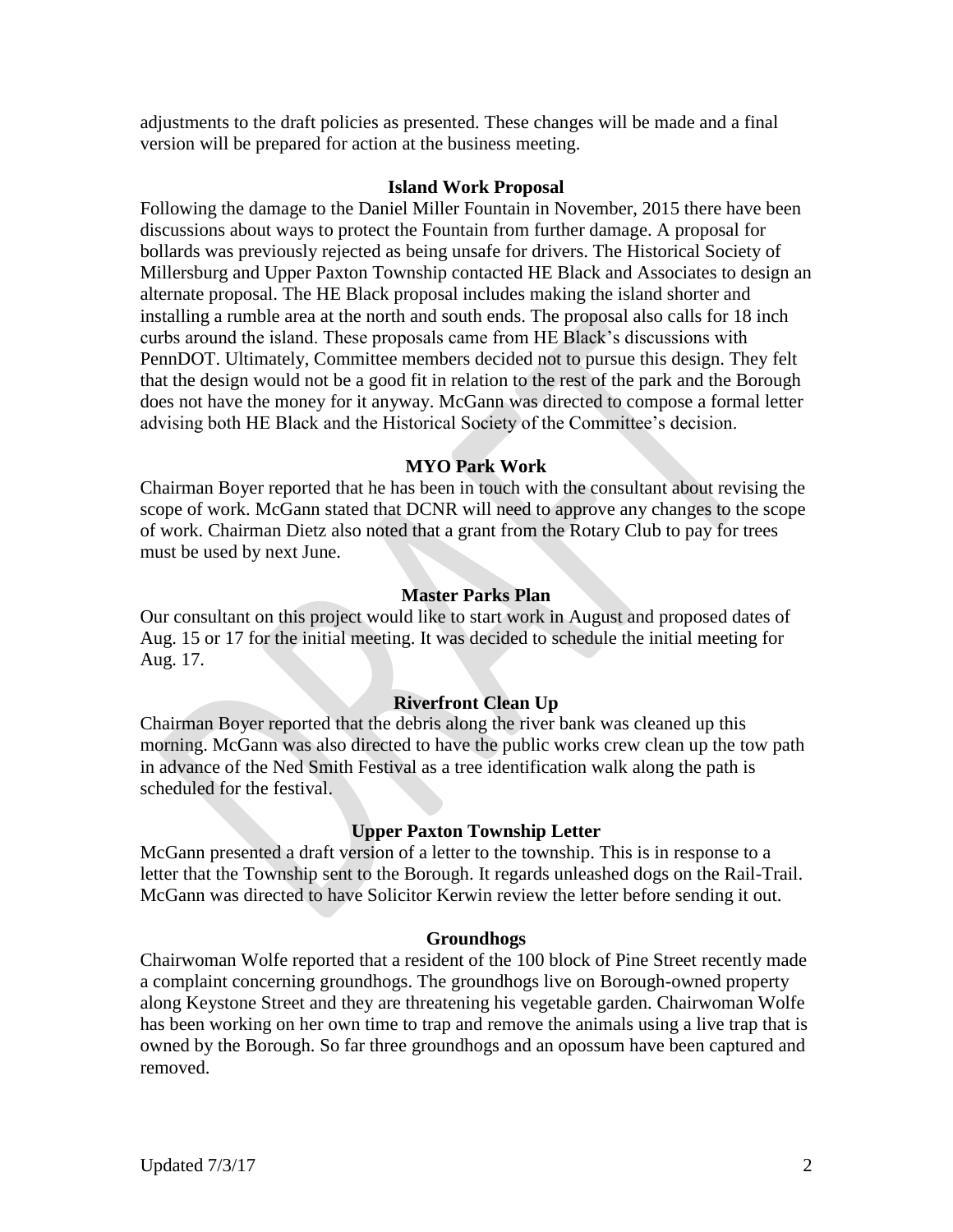adjustments to the draft policies as presented. These changes will be made and a final version will be prepared for action at the business meeting.

#### **Island Work Proposal**

Following the damage to the Daniel Miller Fountain in November, 2015 there have been discussions about ways to protect the Fountain from further damage. A proposal for bollards was previously rejected as being unsafe for drivers. The Historical Society of Millersburg and Upper Paxton Township contacted HE Black and Associates to design an alternate proposal. The HE Black proposal includes making the island shorter and installing a rumble area at the north and south ends. The proposal also calls for 18 inch curbs around the island. These proposals came from HE Black's discussions with PennDOT. Ultimately, Committee members decided not to pursue this design. They felt that the design would not be a good fit in relation to the rest of the park and the Borough does not have the money for it anyway. McGann was directed to compose a formal letter advising both HE Black and the Historical Society of the Committee's decision.

# **MYO Park Work**

Chairman Boyer reported that he has been in touch with the consultant about revising the scope of work. McGann stated that DCNR will need to approve any changes to the scope of work. Chairman Dietz also noted that a grant from the Rotary Club to pay for trees must be used by next June.

## **Master Parks Plan**

Our consultant on this project would like to start work in August and proposed dates of Aug. 15 or 17 for the initial meeting. It was decided to schedule the initial meeting for Aug. 17.

# **Riverfront Clean Up**

Chairman Boyer reported that the debris along the river bank was cleaned up this morning. McGann was also directed to have the public works crew clean up the tow path in advance of the Ned Smith Festival as a tree identification walk along the path is scheduled for the festival.

## **Upper Paxton Township Letter**

McGann presented a draft version of a letter to the township. This is in response to a letter that the Township sent to the Borough. It regards unleashed dogs on the Rail-Trail. McGann was directed to have Solicitor Kerwin review the letter before sending it out.

## **Groundhogs**

Chairwoman Wolfe reported that a resident of the 100 block of Pine Street recently made a complaint concerning groundhogs. The groundhogs live on Borough-owned property along Keystone Street and they are threatening his vegetable garden. Chairwoman Wolfe has been working on her own time to trap and remove the animals using a live trap that is owned by the Borough. So far three groundhogs and an opossum have been captured and removed.